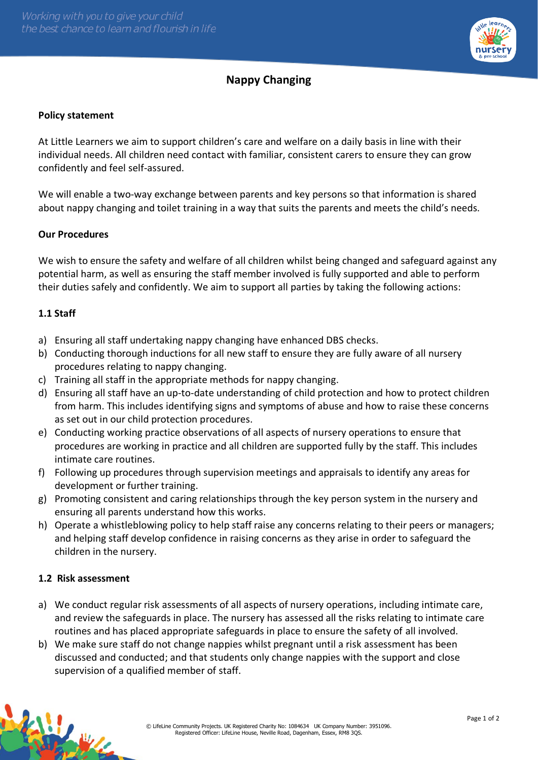

# **Nappy Changing**

### **Policy statement**

At Little Learners we aim to support children's care and welfare on a daily basis in line with their individual needs. All children need contact with familiar, consistent carers to ensure they can grow confidently and feel self-assured.

We will enable a two-way exchange between parents and key persons so that information is shared about nappy changing and toilet training in a way that suits the parents and meets the child's needs.

#### **Our Procedures**

We wish to ensure the safety and welfare of all children whilst being changed and safeguard against any potential harm, as well as ensuring the staff member involved is fully supported and able to perform their duties safely and confidently. We aim to support all parties by taking the following actions:

### **1.1 Staff**

- a) Ensuring all staff undertaking nappy changing have enhanced DBS checks.
- b) Conducting thorough inductions for all new staff to ensure they are fully aware of all nursery procedures relating to nappy changing.
- c) Training all staff in the appropriate methods for nappy changing.
- d) Ensuring all staff have an up-to-date understanding of child protection and how to protect children from harm. This includes identifying signs and symptoms of abuse and how to raise these concerns as set out in our child protection procedures.
- e) Conducting working practice observations of all aspects of nursery operations to ensure that procedures are working in practice and all children are supported fully by the staff. This includes intimate care routines.
- f) Following up procedures through supervision meetings and appraisals to identify any areas for development or further training.
- g) Promoting consistent and caring relationships through the key person system in the nursery and ensuring all parents understand how this works.
- h) Operate a whistleblowing policy to help staff raise any concerns relating to their peers or managers; and helping staff develop confidence in raising concerns as they arise in order to safeguard the children in the nursery.

### **1.2 Risk assessment**

- a) We conduct regular risk assessments of all aspects of nursery operations, including intimate care, and review the safeguards in place. The nursery has assessed all the risks relating to intimate care routines and has placed appropriate safeguards in place to ensure the safety of all involved.
- b) We make sure staff do not change nappies whilst pregnant until a risk assessment has been discussed and conducted; and that students only change nappies with the support and close supervision of a qualified member of staff.